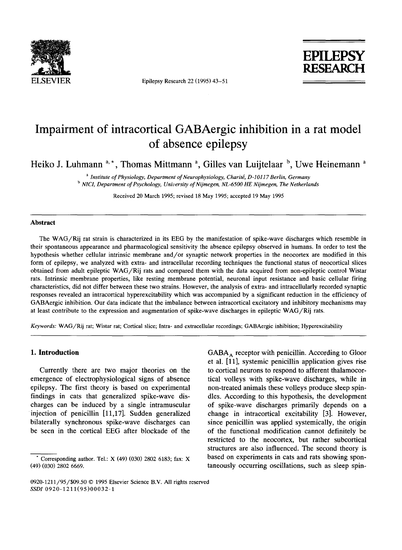

Epilepsy Research 22 (1995)  $43-51$ 



# **Impairment of intracortical GABAergic inhibition in a rat model of absence epilepsy**

**Heiko J. Luhmann a,\*, Thomas Mittmann a, Gilles van Luijtelaar b, Uwe Heinemann <sup>a</sup>**

<sup>a</sup> Institute of Physiology, Department of Neurophysiology, Charité, D-10117 Berlin, Germany <sup>b</sup> NICI, Department of Psychology, University of Nijmegen, NL-6500 HE Nijmegen, The Netherlands

Received 20 March 1995; revised 18 May 1995; accepted 19 May 1995

## **Abstract**

The WAG/Rij rat strain is characterized in its EEG by the manifestation of spike-wave discharges which resemble in their spontaneous appearance and pharmacological sensitivity the absence epilepsy observed in humans. In order to test the hypothesis whether cellular intrinsic membrane and/or synaptic network properties in the neocortex are modified in this form of epilepsy, we analyzed with extra- and intracellular recording techniques the functional status of neocortical slices obtained from adult epileptic WAG/Rij rats and compared them with the data acquired from non-epileptic control Wistar rats. Intrinsic membrane properties, like resting membrane potential, neuronal input resistance and basic cellular firing characteristics, did not differ between these two strains. However, the analysis of extra- and intracellularly recorded synaptic responses revealed an intracortical hyperexcitability which was accompanied by a significant reduction in the efficiency of GABAergic inhibition. Our data indicate that the imbalance between intracortical excitatory and inhibitory mechanisms may at least contribute to the expression and augmentation of spike-wave discharges in epileptic WAG/Rij rats.

*Keywords:* WAG/Rij rat; Wistar rat; Cortical slice; Intra- and extracellular recordings; GABAergic inhibition; Hyperexcitability

## **I. Introduction**

Currently there are two major theories on the emergence of electrophysiological signs of absence epilepsy. The first theory is based on experimental findings in cats that generalized spike-wave discharges can be induced by a single intramuscular injection of penicillin [11,17]. Sudden generalized bilaterally synchronous spike-wave discharges can be seen in the cortical EEG after blockade of the

 $GABA_A$  receptor with penicillin. According to Gloor et al. [11], systemic penicillin application gives rise to cortical neurons to respond to afferent thalamocortical volleys with spike-wave discharges, while in non-treated animals these volleys produce sleep spindies. According to this hypothesis, the development of spike-wave discharges primarily depends on a change in intracortical excitability [3]. However, since penicillin was applied systemically, the origin of the functional modification cannot definitely be restricted to the neocortex, but rather subcortical structures are also influenced. The second theory is based on experiments in cats and rats showing spontaneously occurring oscillations, such as sleep spin-

Corresponding author. Tel.: X (49) (030) 2802 6183; fax: X (49) (030) 2802 6669.

<sup>0920-1211/95/\$09.50 © 1995</sup> Elsevier Science B.V. All rights reserved *SSDI* 0920-1211(95)00032-1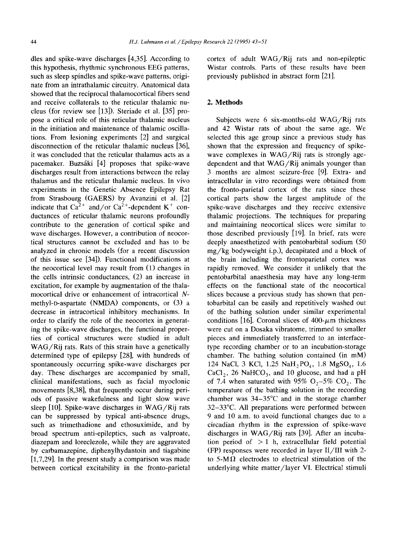dies and spike-wave discharges [4,35]. According to this hypothesis, rhythmic synchronous EEG patterns, such as sleep spindles and spike-wave patterns, originate from an intrathalamic circuitry. Anatomical data showed that the reciprocal thalamocortical fibers send and receive collaterals to the reticular thalamic nucleus (for review see [13]). Steriade et al. [35] propose a critical role of this reticular thalamic nucleus in the initiation and maintenance of thalamic oscillations. From lesioning experiments [2] and surgical disconnection of the reticular thalamic nucleus [36], it was concluded that the reticular thalamus acts as a pacemaker. Buzsáki [4] proposes that spike-wave discharges result from interactions between the relay thalamus and the reticular thalamic nucleus. In vivo experiments in the Genetic Absence Epilepsy Rat from Strasbourg (GAERS) by Avanzini et al. [2] indicate that  $Ca^{2+}$  and/or  $Ca^{2+}$ -dependent K<sup>+</sup> conductances of reticular thalamic neurons profoundly contribute to the generation of cortical spike and wave discharges. However, a contribution of neocortical structures cannot be excluded and has to be analyzed in chronic models (for a recent discussion of this issue see [34]). Functional modifications at the neocortical level may result from (1) changes in the cells intrinsic conductances, (2) an increase in excitation, for example by augmentation of the thalamocortical drive or enhancement of intracortical Nmethyl-D-aspartate (NMDA) components, or (3) a decrease in intracortical inhibitory mechanisms. In order to clarify the role of the neocortex in generating the spike-wave discharges, the functional properties of cortical structures were studied in adult WAG/Rij rats. Rats of this strain have a genetically determined type of epilepsy [28], with hundreds of spontaneously occurring spike-wave discharges per day. These discharges are accompanied by small, clinical manifestations, such as facial myoclonic movements [8,38], that frequently occur during periods of passive wakefulness and light slow wave sleep [10]. Spike-wave discharges in WAG/Rij rats can be suppressed by typical anti-absence drugs, such as trimethadione and ethosuximide, and by broad spectrum anti-epileptics, such as valproate, diazepam and loreclezole, while they are aggravated by carbamazepine, diphenylhydantoin and tiagabine [1,7,29]. In the present study a comparison was made between cortical excitability in the fronto-parietal cortex of adult WAG/Rij rats and non-epileptic Wistar controls. Parts of these results have been previously published in abstract form [21].

# **2. Methods**

Subjects were 6 six-months-old WAG/Rij rats and 42 Wistar rats of about the same age. We selected this age group since a previous study has shown that the expression and frequency of spikewave complexes in WAG/Rij rats is strongly agedependent and that WAG/Rij animals younger than 3 months are almost seizure-free [9]. Extra- and intracellular in vitro recordings were obtained from the fronto-parietal cortex of the rats since these cortical parts show the largest amplitude of the spike-wave discharges and they receive extensive thalamic projections. The techniques for preparing and maintaining neocortical slices were similar to those described previously [19]. In brief, rats were deeply anaesthetized with pentobarbital sodium (50 mg/kg bodyweight i.p.), decapitated and a block of the brain including the frontoparietal cortex was rapidly removed. We consider it unlikely that the pentobarbital anaesthesia may have any long-term effects on the functional state of the neocortical slices because a previous study has shown that pentobarbital can be easily and repetitively washed out of the bathing solution under similar experimental conditions [16]. Coronal slices of  $400-\mu m$  thickness were cut on a Dosaka vibratome, trimmed to smaller pieces and immediately transferred to an interfacetype recording chamber or to an incubation-storage chamber. The bathing solution contained (in mM) 124 NaCl, 3 KCl, 1.25 NaH<sub>2</sub>PO<sub>4</sub>, 1.8 MgSO<sub>4</sub>, 1.6  $CaCl<sub>2</sub>$ , 26 NaHCO<sub>3</sub>, and 10 glucose, and had a pH of 7.4 when saturated with 95%  $O_2$ -5%  $CO_2$ . The temperature of the bathing solution in the recording chamber was 34-35°C and in the storage chamber 32-33°C. All preparations were performed between 9 and 10 a.m. to avoid functional changes due to a circadian rhythm in the expression of spike-wave discharges in WAG/Rij rats [39]. After an incubation period of  $> 1$  h, extracellular field potential (FP) responses were recorded in layer II/III with 2 to 5-M $\Omega$  electrodes to electrical stimulation of the underlying white matter/layer VI. Electrical stimuli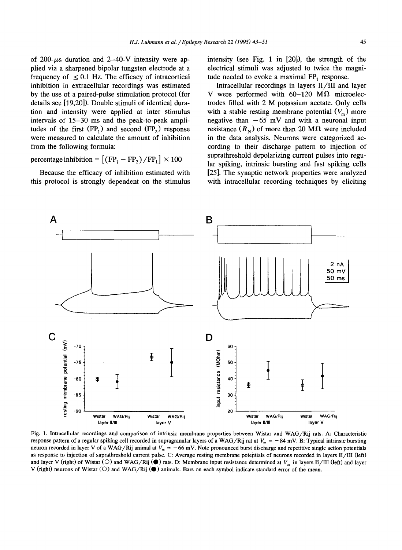of 200- $\mu$ s duration and 2-40-V intensity were applied via a sharpened bipolar tungsten electrode at a frequency of  $\leq 0.1$  Hz. The efficacy of intracortical inhibition in extracellular recordings was estimated by the use of a paired-pulse stimulation protocol (for details see [19,20]). Double stimuli of identical duration and intensity were applied at inter stimulus intervals of 15-30 ms and the peak-to-peak amplitudes of the first  $(FP_1)$  and second  $(FP_2)$  response were measured to calculate the amount of inhibition from the following formula:

percentage inhibition =  $[(FP<sub>1</sub> - FP<sub>2</sub>)/FP<sub>1</sub>] \times 100$ 

Because the efficacy of inhibition estimated with this protocol is strongly dependent on the stimulus intensity (see Fig. 1 in [20]), the strength of the electrical stimuli was adjusted to twice the magnitude needed to evoke a maximal  $FP_1$  response.

Intracellular recordings in layers II/III and layer V were performed with  $60-120$  M $\Omega$  microelectrodes filled with 2 M potassium acetate. Only cells with a stable resting membrane potential  $(V_m)$  more negative than  $-65$  mV and with a neuronal input resistance  $(R_N)$  of more than 20 M $\Omega$  were included in the data analysis. Neurons were categorized according to their discharge pattern to injection of suprathreshold depolarizing current pulses into regular spiking, intrinsic bursting and fast spiking cells [25]. The synaptic network properties were analyzed with intracellular recording techniques by eliciting



Fig. 1. Intracellular recordings and comparison of intrinsic membrane properties between Wistar and WAG/Rij rats. A: Characteristic response pattern of a regular spiking cell recorded in supragranular layers of a WAG/Rij rat at  $V_m = -84$  mV. B: Typical intrinsic bursting neuron recorded in layer V of a WAG/Rij animal at  $V_m = -66$  mV. Note pronounced burst discharge and repetitive single action potentials as response to injection of suprathreshold current pulse. C: Average resting membrane potentials of neurons recorded in layers II/III (left) and layer V (right) of Wistar (O) and WAG/Rij ( $\bullet$ ) rats. D: Membrane input resistance determined at  $V_m$  in layers II/III (left) and layer V (right) neurons of Wistar  $(O)$  and WAG/Rij  $(\bullet)$  animals. Bars on each symbol indicate standard error of the mean.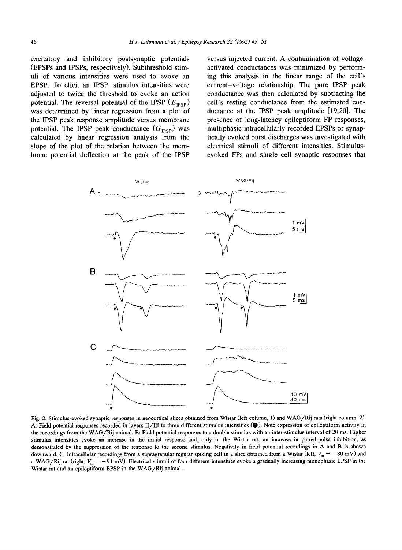excitatory and inhibitory postsynaptic potentials (EPSPs and IPSPs, respectively). Subthreshold stimuli of various intensities were used to evoke an EPSP. To elicit an IPSP, stimulus intensities were adjusted to twice the threshold to evoke an action potential. The reversal potential of the IPSP  $(E_{\text{ppsp}})$ was determined by linear regression from a plot of the IPSP peak response amplitude versus membrane potential. The IPSP peak conductance  $(G_{\text{ppsp}})$  was calculated by linear regression analysis from the slope of the plot of the relation between the membrane potential deflection at the peak of the IPSP versus injected current. A contamination of voltageactivated conductances was minimized by performing this analysis in the linear range of the cell's current-voltage relationship. The pure IPSP peak conductance was then calculated by subtracting the cell's resting conductance from the estimated conductance at the IPSP peak amplitude [19,20]. The presence of long-latency epileptiform FP responses, multiphasic intracellularly recorded EPSPs or synaptically evoked burst discharges was investigated with electrical stimuli of different intensities. Stimulusevoked FPs and single cell synaptic responses that



Fig. 2. Stimulus-evoked synaptic responses in neocortical slices obtained from Wistar (left column, 1) and WAG/Rij rats (right column, 2). A: Field potential responses recorded in layers II/III to three different stimulus intensities (Q). Note expression of epileptiform activity in the recordings from the WAG/Rij animal. B: Field potential responses to a double stimulus with an inter-stimulus interval of 20 ms. Higher stimulus intensities evoke an increase in the initial response and, only in the Wistar rat, an increase in paired-pulse inhibition, as demonstrated by the suppression of the response to the second stimulus. Negativity in field potential recordings in A and B is shown downward. C: Intracellular recordings from a supragranular regular spiking cell in a slice obtained from a Wistar (left,  $V_m = -80$  mV) and a WAG/Rij rat (right,  $V_m = -91$  mV). Electrical stimuli of four different intensities evoke a gradually increasing monophasic EPSP in the Wistar rat and an epileptiform EPSP in the WAG/Rij animal.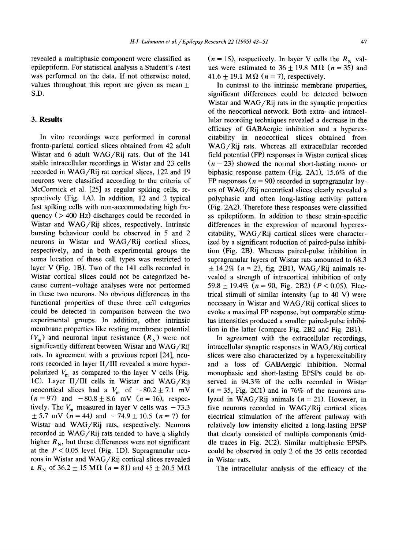revealed a multiphasic component were classified as epileptiform. For statistical analysis a Student's t-test was performed on the data. If not otherwise noted, values throughout this report are given as mean  $\pm$ S.D.

#### **3. Results**

In vitro recordings were performed in coronal fronto-parietal cortical slices obtained from 42 adult Wistar and 6 adult WAG/Rij rats. Out of the 141 stable intracellular recordings in Wistar and 23 cells recorded in WAG/Rij rat cortical slices, 122 and 19 neurons were classified according to the criteria of McCormick et al. [25] as regular spiking cells, respectively (Fig. 1A). In addition, 12 and 2 typical fast spiking cells with non-accommodating high frequency ( $> 400$  Hz) discharges could be recorded in Wistar and WAG/Rij slices, respectively. Intrinsic bursting behaviour could be observed in 5 and 2 neurons in Wistar and WAG/Rij cortical slices, respectively, and in both experimental groups the soma location of these cell types was restricted to layer V (Fig. 1B). Two of the 141 cells recorded in Wistar cortical slices could not be categorized because current-voltage analyses were not performed in these two neurons. No obvious differences in the functional properties of these three cell categories could be detected in comparison between the two experimental groups. In addition, other intrinsic membrane properties like resting membrane potential  $(V_m)$  and neuronal input resistance  $(R_N)$  were not significantly different between Wistar and WAG/Rij rats. In agreement with a previous report [24], neurons recorded in layer II/III revealed a more hyperpolarized  $V_m$  as compared to the layer V cells (Fig. 1C). Layer II/III cells in Wistar and WAG/Rij neocortical slices had a  $V_m$  of  $-80.2 \pm 7.1$  mV  $(n=97)$  and  $-80.8 \pm 8.6$  mV  $(n=16)$ , respectively. The  $V_m$  measured in layer V cells was  $-73.3$  $\pm$  5.7 mV (n = 44) and -74.9  $\pm$  10.5 (n = 7) for Wistar and WAG/Rij rats, respectively. Neurons recorded in WAG/Rij rats tended to have a slightly higher  $R_N$ , but these differences were not significant at the  $P < 0.05$  level (Fig. 1D). Supragranular neurons in Wistar and WAG/Rij cortical slices revealed a  $R_N$  of 36.2  $\pm$  15 M $\Omega$  (n = 81) and 45  $\pm$  20.5 M $\Omega$ 

 $(n = 15)$ , respectively. In layer V cells the  $R_N$  values were estimated to  $36 \pm 19.8$  M $\Omega$  (n = 35) and 41.6  $\pm$  19.1 M $\Omega$  (n = 7), respectively.

In contrast to the intrinsic membrane properties, significant differences could be detected between Wistar and WAG/Rij rats in the synaptic properties of the neocortical network. Both extra- and intracellular recording techniques revealed a decrease in the efficacy of GABAergic inhibition and a hyperexcitability in neocortical slices obtained from WAG/Rij rats. Whereas all extracellular recorded field potential (FP) responses in Wistar cortical slices  $(n = 23)$  showed the normal short-lasting mono- or biphasic response pattern (Fig. 2A1), 15.6% of the FP responses ( $n = 90$ ) recorded in supragranular layers of WAG/Rij neocortical slices clearly revealed a polyphasic and often long-lasting activity pattern (Fig. 2A2). Therefore these responses were classified as epileptiform. In addition to these strain-specific differences in the expression of neuronal hyperexcitability, WAG/Rij cortical slices were characterized by a significant reduction of paired-pulse inhibition (Fig. 2B). Whereas paired-pulse inhibition in supragranular layers of Wistar rats amounted to 68.3  $\pm$  14.2% (n = 23, fig. 2B1), WAG/Rij animals revealed a strength of intracortical inhibition of only 59.8  $\pm$  19.4% (n = 90, Fig. 2B2) (P < 0.05). Electrical stimuli of similar intensity (up to 40 V) were necessary in Wistar and WAG/Rij cortical slices to evoke a maximal FP response, but comparable stimulus intensities produced a smaller paired-pulse inhibition in the latter (compare Fig. 2B2 and Fig. 2B1).

In agreement with the extracellular recordings, intracellular synaptic responses in WAG/Rij cortical slices were also characterized by a hyperexcitability and a loss of GABAergic inhibition. Normal monophasic and short-lasting EPSPs could be observed in 94.3% of the cells recorded in Wistar  $(n = 35, Fig. 2C1)$  and in 76% of the neurons analyzed in WAG/Rij animals  $(n = 21)$ . However, in five neurons recorded in WAG/Rij cortical slices electrical stimulation of the afferent pathway with relatively low intensity elicited a long-lasting EPSP that clearly consisted of multiple components (middle traces in Fig. 2C2). Similar multiphasic EPSPs could be observed in only 2 of the 35 cells recorded in Wistar rats.

The intracellular analysis of the efficacy of the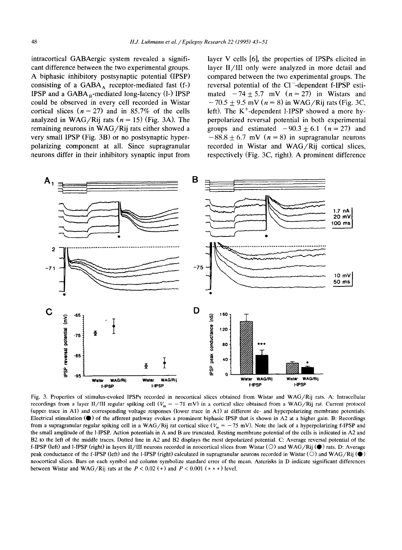intracortical GABAergic system revealed a significant difference between the two experimental groups. A biphasic inhibitory postsynaptic potential (IPSP) consisting of a GABA $_A$  receptor-mediated fast (f-) IPSP and a GABA $_B$ -mediated long-latency (1-) IPSP could be observed in every cell recorded in Wistar cortical slices  $(n = 27)$  and in 85.7% of the cells analyzed in WAG/Rij rats  $(n = 15)$  (Fig. 3A). The remaining neurons in WAG/Rij rats either showed a very small IPSP (Fig. 3B) or no postsynaptic hyperpolarizing component at all. Since supragranular neurons differ in their inhibitory synaptic input from layer V cells [6], the properties of IPSPs elicited in layer II/III only were analyzed in more detail and compared between the two experimental groups. The reversal potential of the C1--dependent f-IPSP estimated  $-74 \pm 5.7$  mV ( $n=27$ ) in Wistars and  $-70.5 + 9.5$  mV ( $n = 8$ ) in WAG/Rij rats (Fig. 3C, left). The  $K^+$ -dependent 1-IPSP showed a more hyperpolarized reversal potential in both experimental groups and estimated  $-90.3 \pm 6.1$  ( $n = 27$ ) and  $-88.8 + 6.7$  mV ( $n = 8$ ) in supragranular neurons recorded in Wistar and WAG/Rij cortical slices, respectively (Fig. 3C, right). A prominent difference



Fig. 3. Properties of stimulus-evoked IPSPs recorded in neocortical slices obtained from Wistar and WAG/Rij rats. A: lntracellular recordings from a layer II/III regular spiking cell  $(V_m = -71 \text{ mV})$  in a cortical slice obtained from a WAG/Rij rat. Current protocol (upper trace in A1) and corresponding voltage responses (lower trace in A1) at different de- and hyperpolarizing membrane potentials. Electrical stimulation ( $\bullet$ ) of the afferent pathway evokes a prominent biphasic IPSP that is shown in A2 at a higher gain. B: Recordings from a supragranular regular spiking cell in a WAG/Rij rat cortical slice ( $V_m = -75$  mV). Note the lack of a hyperpolarizing f-IPSP and the small amplitude of the I-IPSP. Action potentials in A and B are truncated. Resting membrane potential of the cells is indicated in A2 and B2 to the left of the middle traces. Dotted line in A2 and B2 displays the most depolarized potential. C: Average reversal potential of the f-IPSP (left) and I-IPSP (right) in layers II/III neurons recorded in neocortical slices from Wistar ( $\circ$ ) and WAG/Rij ( $\bullet$ ) rats. D: Average peak conductance of the f-IPSP (left) and the I-IPSP (right) calculated in supragranular neurons recorded in Wistar ( $\odot$ ) and WAG/Rij ( $\bullet$ ) neocortical slices. Bars on each symbol and column symbolize standard error of the mean. Asterisks in D indicate significant differences between Wistar and WAG/Rij rats at the  $P < 0.02$  (\*) and  $P < 0.001$  (\*\*\*) level.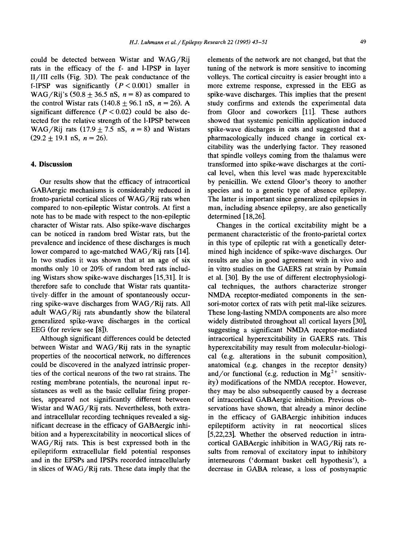could be detected between Wistar and WAG/Rij rats in the efficacy of the f- and I-IPSP in layer II/III cells (Fig. 3D). The peak conductance of the f-IPSP was significantly  $(P < 0.001)$  smaller in WAG/Rij's  $(50.8 \pm 36.5 \text{ nS}, n = 8)$  as compared to the control Wistar rats  $(140.8 \pm 96.1 \text{ nS}, n = 26)$ . A significant difference  $(P < 0.02)$  could be also detected for the relative strength of the I-IPSP between WAG/Rij rats  $(17.9 \pm 7.5 \text{ nS}, n = 8)$  and Wistars  $(29.2 \pm 19.1 \text{ nS}, n = 26).$ 

### **4. Discussion**

Our results show that the efficacy of intracortical GABAergic mechanisms is considerably reduced in fronto-parietal cortical slices of WAG/Rij rats when compared to non-epileptic Wistar controls. At first a note has to be made with respect to the non-epileptic character of Wistar rats. Also spike-wave discharges can be noticed in random bred Wistar rats, but the prevalence and incidence of these discharges is much lower compared to age-matched WAG/Rij rats [14]. In two studies it was shown that at an age of six months only 10 or 20% of random bred rats including Wistars show spike-wave discharges [15,31]. It is therefore safe to conclude that Wistar rats quantitatively, differ in the amount of spontaneously occurring spike-wave discharges from WAG/Rij rats. All adult WAG/Rij rats abundantly show the bilateral generalized spike-wave discharges in the cortical EEG (for review see [8]).

Although significant differences could be detected between Wistar and WAG/Rij rats in the synaptic properties of the neocortical network, no differences could be discovered in the analyzed intrinsic properties of the cortical neurons of the two rat strains. The resting membrane potentials, the neuronal input resistances as well as the basic cellular firing properties, appeared not significantly different between Wistar and WAG/Rij rats. Nevertheless, both extraand intracellular recording techniques revealed a significant decrease in the efficacy of GABAergic inhibition and a hyperexcitability in neocortical slices of WAG/Rij rats. This is best expressed both in the epileptiform extracellular field potential responses and in the EPSPs and IPSPs recorded intracellularly in slices of WAG/Rij rats. These data imply that the elements of the network are not changed, but that the tuning of the network is more sensitive to incoming volleys. The cortical circuitry is easier brought into a more extreme response, expressed in the EEG as spike-wave discharges. This implies that the present study confirms and extends the experimental data from Gloor and coworkers [11]. These authors showed that systemic penicillin application induced spike-wave discharges in cats and suggested that a pharmacologically induced change in cortical excitability was the underlying factor. They reasoned that spindle volleys coming from the thalamus were transformed into spike-wave discharges at the cortical level, when this level was made hyperexcitable by penicillin. We extend Gloor's theory to another species and to a genetic type of absence epilepsy. The latter is important since generalized epilepsies in man, including absence epilepsy, are also genetically determined [18,26].

Changes in the cortical excitability might be a permanent characteristic of the fronto-parietal cortex in this type of epileptic rat with a genetically determined high incidence of spike-wave discharges. Our results are also in good agreement with in vivo and in vitro studies on the GAERS rat strain by Pumain et al. [30]. By the use of different electrophysiological techniques, the authors characterize stronger NMDA receptor-mediated components in the sensori-motor cortex of rats with petit mal-like seizures. These long-lasting NMDA components are also more widely distributed throughout all cortical layers [30], suggesting a significant NMDA receptor-mediated intracortical hyperexcitability in GAERS rats. This hyperexcitability may result from molecular-biological (e.g. alterations in the subunit composition), anatomical (e.g. changes in the receptor density) and/or functional (e.g. reduction in  $Mg^{2+}$  sensitivity) modifications of the NMDA receptor. However, they may be also subsequently caused by a decrease of intracortical GABAergic inhibition. Previous observations have shown, that already a minor decline in the efficacy of GABAergic inhibition induces epileptiform activity in rat neocortical slices [5,22,23]. Whether the observed reduction in intracortical GABAergic inhibition in WAG/Rij rats results from removal of excitatory input to inhibitory interneurons ('dormant basket cell hypothesis'), a decrease in GABA release, a loss of postsynaptic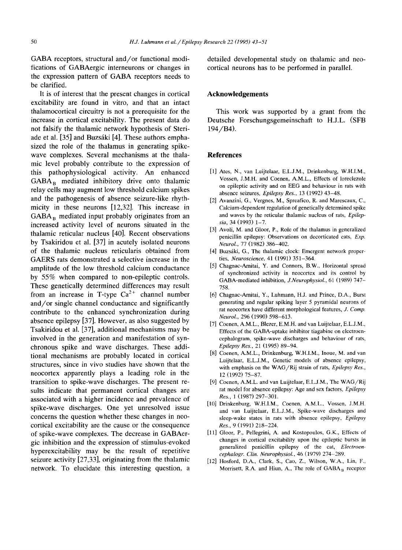GABA receptors, structural and/or functional modifications of GABAergic interneurons or changes in the expression pattern of GABA receptors needs to be clarified.

It is of interest that the present changes in cortical excitability are found in vitro, and that an intact thalamocortical circuitry is not a prerequisite for the increase in cortical excitability. The present data do not falsify the thalamic network hypothesis of Steriade et al. [35] and Buzsáki [4]. These authors emphasized the role of the thalamus in generating spikewave complexes. Several mechanisms at the thalamic level probably contribute to the expression of this pathophysiological activity. An enhanced  $GABA_B$  mediated inhibitory drive onto thalamic relay cells may augment low threshold calcium spikes and the pathogenesis of absence seizure-like rhythmicity in these neurons [12,32]. This increase in  $GABA_{\rm B}$  mediated input probably originates from an increased activity level of neurons situated in the thalamic reticular nucleus [40]. Recent observations by Tsakiridou et al. [37] in acutely isolated neurons of the thalamic nucleus reticularis obtained from GAERS rats demonstrated a selective increase in the amplitude of the low threshold calcium conductance by 55% when compared to non-epileptic controls. These genetically determined differences may result from an increase in T-type  $Ca^{2+}$  channel number and/or single channel conductance and significantly contribute to the enhanced synchronization during absence epilepsy [37]. However, as also suggested by Tsakiridou et al. [37], additional mechanisms may be involved in the generation and manifestation of synchronous spike and wave discharges. These additional mechanisms are probably located in cortical structures, since in vivo studies have shown that the neocortex apparently plays a leading role in the transition to spike-wave discharges. The present results indicate that permanent cortical changes are associated with a higher incidence and prevalence of spike-wave discharges. One yet unresolved issue concerns the question whether these changes in neocortical excitability are the cause or the consequence of spike-wave complexes. The decrease in GABAergic inhibition and the expression of stimulus-evoked hyperexcitability may be the result of repetitive seizure activity [27,33], originating from the thalamic network. To elucidate this interesting question, a detailed developmental study on thalamic and neocortical neurons has to be performed in parallel.

## **Acknowledgements**

This work was supported by a grant from the Deutsche Forschungsgemeinschaft to H.J.L. (SFB 194/B4).

#### **References**

- [1] Ates, N., van Luijtelaar, E.L.J.M., Drinkenburg, W.H.I.M., Vossen, J.M.H. and Coenen, A.M.L., Effects of loreelezole on epileptic activity and on EEG and behaviour in rats with absence seizures, *Epilepsy Res.,* 13 (1992) 43-48.
- [2] Avanzini, G., Vergnes, M., Spreafico, R. and Marescaux, C., Calcium-dependent regulation of genetically determined spike and waves by the reticular thalamic nucleus of rats, *Epilepsia,* 34 (1993) 1-7.
- [3] Avoli, M. and Gloor, P., Role of the thalamus in generalized penicillin epilepsy: Observations on decorticated cats, *Exp. Neurol.,* 77 (1982) 386-402.
- [4] Buzsáki, G., The thalamic clock: Emergent network properties, *Neuroscience,* 41 (1991) 351-364.
- Chagnac-Amitai, Y. and Connors, B.W., Horizontal spread of synchronized activity in neocortex and its control by GABA-mediated inhibition, *J.Neurophysiol.,* 61 (1989) 747- 758.
- [6] Chagnac-Amitai, Y., Luhmann, H.J. and Prince, D.A., Burst generating and regular spiking layer 5 pyramidal neurons of rat neocortex have different morphological features, *J. Comp. Neurol.,* 296 (1990) 598-613.
- [7] Coenen, A.M.L., Blezer, E.M.H. and van Luijtelaar, E.L.J.M., Effects of the GABA-uptake inhibitor tiagabine on electroencephalogram, spike-wave discharges and behaviour of rats, *Epilepsy Res.,* 21 (1995) 89-94.
- [8] Coenen, A.M.L., Drinkenburg, W.H.I.M., Inoue, M. and van Luijtelaar, E.L.J.M., Genetic models of absence epilepsy, with emphasis on the WAG/Rij strain of rats, *Epilepsy Res.,*  12 (1992) 75-87.
- [9] Coenen, A.M.L. and van Luijtelaar, E.L.J.M., The WAG/Rij rat model for absence epilepsy: Age and sex factors, *Epilepsy Res.,* 1 (1987) 297-301.
- [10] Drinkenburg, W.H.I.M., Coenen, A.M.L., Vossen, J.M.H. and van Luijtelaar, E.L.J.M., Spike-wave discharges and sleep-wake states in rats with absence epilepsy, *Epilepsy Res.,* 9 (1991) 218-224.
- [11] Gloor, P., Pellegrini, A. and Kostopoulos, G.K., Effects of changes in cortical excitability upon the epileptic bursts in generalized penicillin epilepsy of the cat, *Electroencephalogr. Clin. Neurophysiol.,* 46 (1979) 274-289.
- [12] Hosford, D.A., Clark, S., Cao, Z., Wilson, W.A., Lin, F., Morrisett, R.A. and Hiun, A., The role of  $GABA_B$  receptor